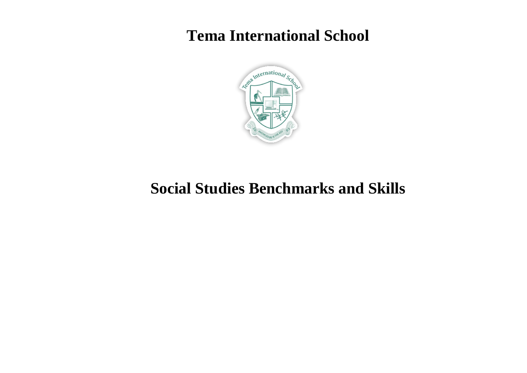## **Tema International School**



## **Social Studies Benchmarks and Skills**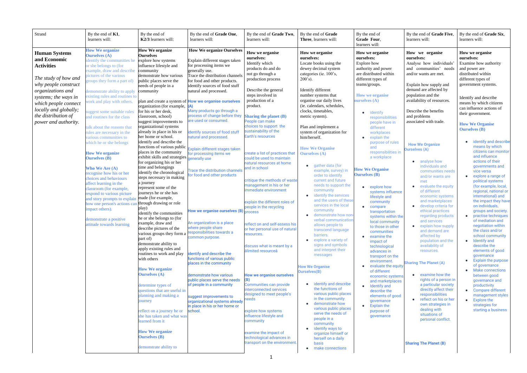| Strand                                                                                                                                                                                                                                                 | By the end of $K1$ ,<br>learners will:                                                                                                                                                                                                                                                                                                                                                                                                                                                                                                                                                                                                                                                                                                                                                                                                        | By the end of<br>K2/3 learners will:                                                                                                                                                                                                                                                                                                                                                                                                                                                                                                                                                                                                                                                                                                                                                                                                                                   | By the end of Grade One,<br>learners will:                                                                                                                                                                                                                                                                                                                                                                                                                                                                                                                                                                                                                                                                               | By the end of Grade Two,<br>learners will:                                                                                                                                                                                                                                                                                                                                                                                                                                                                                                                                                                                                             | By the end of <b>Grade</b><br><b>Three, learners will:</b>                                                                                                                                                                                                                                                                                                                                                                                                                                                                                                                                                                                                                                                                 | By the end of<br>Grade Four,<br>learners will:                                                                                                                                                                                                                                                                                                                                                                                                                                                                                                                                  | By the end of Grade Five,<br>learners will:                                                                                                                                                                                                                                                                                                                                                                                                                                                                                                                                                                                      | By the end of Grade Six,<br>learners will:                                                                                                                                                                                                                                                                                                                                                                                                                                                                                                                                                                                                                                                      |
|--------------------------------------------------------------------------------------------------------------------------------------------------------------------------------------------------------------------------------------------------------|-----------------------------------------------------------------------------------------------------------------------------------------------------------------------------------------------------------------------------------------------------------------------------------------------------------------------------------------------------------------------------------------------------------------------------------------------------------------------------------------------------------------------------------------------------------------------------------------------------------------------------------------------------------------------------------------------------------------------------------------------------------------------------------------------------------------------------------------------|------------------------------------------------------------------------------------------------------------------------------------------------------------------------------------------------------------------------------------------------------------------------------------------------------------------------------------------------------------------------------------------------------------------------------------------------------------------------------------------------------------------------------------------------------------------------------------------------------------------------------------------------------------------------------------------------------------------------------------------------------------------------------------------------------------------------------------------------------------------------|--------------------------------------------------------------------------------------------------------------------------------------------------------------------------------------------------------------------------------------------------------------------------------------------------------------------------------------------------------------------------------------------------------------------------------------------------------------------------------------------------------------------------------------------------------------------------------------------------------------------------------------------------------------------------------------------------------------------------|--------------------------------------------------------------------------------------------------------------------------------------------------------------------------------------------------------------------------------------------------------------------------------------------------------------------------------------------------------------------------------------------------------------------------------------------------------------------------------------------------------------------------------------------------------------------------------------------------------------------------------------------------------|----------------------------------------------------------------------------------------------------------------------------------------------------------------------------------------------------------------------------------------------------------------------------------------------------------------------------------------------------------------------------------------------------------------------------------------------------------------------------------------------------------------------------------------------------------------------------------------------------------------------------------------------------------------------------------------------------------------------------|---------------------------------------------------------------------------------------------------------------------------------------------------------------------------------------------------------------------------------------------------------------------------------------------------------------------------------------------------------------------------------------------------------------------------------------------------------------------------------------------------------------------------------------------------------------------------------|----------------------------------------------------------------------------------------------------------------------------------------------------------------------------------------------------------------------------------------------------------------------------------------------------------------------------------------------------------------------------------------------------------------------------------------------------------------------------------------------------------------------------------------------------------------------------------------------------------------------------------|-------------------------------------------------------------------------------------------------------------------------------------------------------------------------------------------------------------------------------------------------------------------------------------------------------------------------------------------------------------------------------------------------------------------------------------------------------------------------------------------------------------------------------------------------------------------------------------------------------------------------------------------------------------------------------------------------|
| <b>Human Systems</b><br>and Economic<br><b>Activities</b><br>The study of how and<br>why people construct<br>organizations and<br>systems; the ways in<br>which people connect<br>locally and globally;<br>the distribution of<br>power and authority. | <b>How We organize</b><br><b>Ourselves</b> (A)<br>dentify the communities he<br>or she belongs to (for<br>example, draw and describe<br>pictures of the various<br>groups they form a part of)<br>lemonstrate ability to apply<br>existing rules and routines to<br>work and play with others.<br>uggest some suitable rules<br>and routines for the class<br>alk about the reasons that<br>rules are necessary in the<br><i>arious</i> communities to<br>which he or she belongs<br><b>How We organize</b><br><b>Ourselves</b> (B)<br><b>Who We Are (A)</b><br>recognise how his or her<br>choices and behaviours<br>affect learning in the<br>classroom (for example,<br>respond to various picture<br>and story prompts to explain<br>how one person's actions ca<br>mpact others).<br>demonstrate a positive<br>attitude towards learning | <b>How We organize</b><br><b>Ourselves</b><br>explore how systems<br>influence lifestyle and<br>community<br>demonstrate how various<br>public places serve the<br>needs of people in a<br>community<br>organization (for example,<br>for his or her desk,<br>classroom, school)<br>suggest improvements to<br>organizational systems<br>already in place in his or<br>her home or school.<br>identify and describe the<br>functions of various public<br>places in the community<br>exhibit skills and strategies<br>for organizing his or her<br>time and belongings<br>identify the chronological<br>steps necessary in making<br>a journey<br>represent some of the<br>journeys he or she has<br>made (for example,<br>through drawing or role<br>play)<br>identify the communities<br>the or she belongs to (for<br>example, draw and<br>describe pictures of the | <b>How We organize Ourselves</b><br>Explain different stages taken<br>for processing items we<br>generally use.<br>Trace the distribution channels<br>for food and other products.<br>identify sources of food stuff<br>natural and processed.<br>plan and create a system of <b>How we organise ourselves</b><br>Many products go through a<br>process of change before they<br>are used or consumed.<br>dentify sources of food stuff<br>natural and processed.<br>Explain different stages taken<br>for processing items we<br>generally use<br>Trace the distribution channels<br>or food and other products<br>How we organise ourselves (B) <sub>process</sub><br>An organization is a place<br>where people share | How we organise<br>ourselves:<br>Identify which<br>products do and do<br>not go through a<br>production process<br>Describe the general<br>steps involved in<br>production of a<br>product.<br>Sharing the planet $(B)$<br>People can make<br>choices to support the<br>sustainability of the<br>Earth's resources<br>create a list of practices that<br>could be used to maintain<br>natural resources at home<br>and in school<br>critique the methods of waste<br>management in his or her<br>mmediate environment<br>explain the different roles of<br>people in the recycling<br>reflect on and self-assess his<br>or her personal use of natural | How we organise<br>ourselves:<br>Locate books using the<br>dewey decimal system<br>categories (ie. 100's,<br>$200's$ ).<br>Identify different<br>number systems that<br>organise our daily lives<br>(ie. calendars, schedules,<br>clocks, timetables,<br>metric system).<br>Plan and implement a<br>system of organization for<br>him/herself.<br><b>How We Organise</b><br><b>Ourselves (A)</b><br>gather data (for<br>example, survey) in<br>order to identify<br>current and future<br>needs to support the<br>community<br>identify the services<br>$\bullet$<br>and the users of these<br>services in the local<br>community<br>demonstrate how non<br>verbal communication<br>allows people to<br>transcend language | How we organise<br>ourselves:<br>Explore how<br>authority and power<br>are distributed within<br>different types of<br>teams/groups.<br><b>How we organise</b><br><b>burselves</b> (A)<br>identify<br>$\bullet$<br>responsibilities<br>people have in<br>different<br>workplaces<br>explain the<br>purpose of rules<br>and<br>responsibilities in<br>a workplace<br><b>How We Organise</b><br><b>Ourselves</b> (B)<br>explore how<br>systems influence<br>lifestyle and<br>community<br>compare<br>transportation<br>systems within the<br>local community<br>to those in other | How we organise<br>ourselves:<br>Analyse how individuals'<br>and communities' needs<br>and/or wants are met.<br>Explain how supply and<br>demand are affected by<br>population and the<br>availability of resources.<br>Describe the benefits<br>and problems<br>associated with trade.<br><b>How We Organize</b><br><b>Ourselves (A)</b><br>analyse how<br>individuals and<br>communities needs<br>and/or wants are<br>met<br>evaluate the equity<br>$\bullet$<br>of different<br>economic systems<br>and marketplaces<br>develop criteria for<br>ethical practices<br>regarding products<br>and services<br>explain how supply | How we organise<br>ourselves:<br>Examine how authority<br>and power are<br>distributed within<br>different types of<br>government systems.<br>Identify and describe<br>means by which citizens<br>can influence actions of<br>their government.<br><b>How We Organise</b><br><b>Ourselves</b> (B)<br>identify and describe<br>means by which<br>citizens can monitor<br>and influence<br>actions of their<br>governments and<br>vice versa<br>explore a range of<br>political systems<br>(for example, local,<br>regional, national or<br>international) and<br>the impact they have<br>on individuals,<br>groups and society.<br>practise techniques<br>of mediation and<br>negotiation within |
|                                                                                                                                                                                                                                                        |                                                                                                                                                                                                                                                                                                                                                                                                                                                                                                                                                                                                                                                                                                                                                                                                                                               | various groups they form a<br>part of)<br>demonstrate ability to<br>apply existing rules and<br>routines to work and play<br>with others<br><b>How We organize</b><br><b>Ourselves (A)</b><br>determine types of<br>questions that are useful in<br>planning and making a<br>ourney<br>reflect on a journey he or<br>she has taken and what was<br>learned from it<br><b>How We organize</b><br><b>Ourselves (B)</b><br>demonstrate ability to                                                                                                                                                                                                                                                                                                                                                                                                                         | responsibilities towards a<br>common purpose.<br>identify and describe the<br>functions of various public<br>places in the community<br>demonstrate how various<br>public places serve the needs<br>of people in a community<br>suggest improvements to<br>organizational systems already<br>in place in his or her home or<br>school.                                                                                                                                                                                                                                                                                                                                                                                   | resources.<br>discuss what is meant by a<br>âlimited resourceâ<br><b>How we organise ourselves</b><br>Communities can provide<br>interconnected services<br>designed to meet people's<br>eeds<br>explore how systems<br>influence lifestyle and<br>community<br>examine the impact of<br>technological advances in<br>transport on the environment.                                                                                                                                                                                                                                                                                                    | barriers.<br>explore a variety of<br>signs and symbols<br>and interpret their<br>messages<br><b>How We Organise</b><br><b>Ourselves(B)</b><br>• identify and describe<br>the functions of<br>various public places<br>in the community<br>demonstrate how<br>various public places<br>serve the needs of<br>people in a<br>community<br>identify ways to<br>organize himself or<br>herself on a daily<br>basis<br>• make connections                                                                                                                                                                                                                                                                                       | communities<br>examine the<br>impact of<br>technological<br>advances in<br>transport on the<br>environment.<br>evaluate the equity<br>of different<br>economic systems<br>and marketplaces<br>Identify and<br>describe the<br>elements of good<br>qovernance<br><b>Explain the</b><br>purpose of<br>governance                                                                                                                                                                                                                                                                  | and demand are<br>affected by<br>population and the<br>availability of<br>resources.<br><b>Sharing The Planet (A)</b><br>examine how the<br>$\bullet$<br>rights of a person in<br>a particular society<br>directly affect their<br>responsibilities<br>reflect on his or her<br>own strategies in<br>dealing with<br>situations of<br>personal conflict.<br><b>Sharing The Planet (B)</b>                                                                                                                                                                                                                                        | the class and/or<br>school community<br><b>Identify and</b><br>describe the<br>elements of good<br>governance<br><b>Explain the purpose</b><br>of governance<br><b>Make connections</b><br>between good<br>governance and<br>productivity<br><b>Compare different</b><br>management styles<br><b>Explore the</b><br>strategies for<br>starting a business                                                                                                                                                                                                                                                                                                                                       |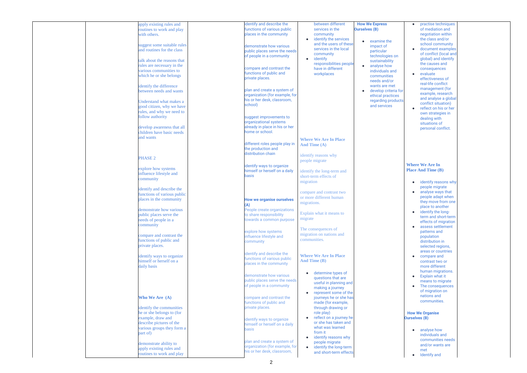| apply existing rules and    |              | identify and describe the           | between different            | <b>How We Express</b>             |
|-----------------------------|--------------|-------------------------------------|------------------------------|-----------------------------------|
| routines to work and play   |              | functions of various public         | services in the              | <b>Ourselves (B)</b>              |
| with others.                |              | places in the community             | community                    |                                   |
|                             |              | $\bullet$                           | identify the services        | examine the                       |
| suggest some suitable rules |              | demonstrate how various             | and the users of these       | impact of                         |
| and routines for the class  |              | public places serve the needs       | services in the local        | particular                        |
|                             |              | of people in a community            | community                    | technologies on                   |
| talk about the reasons that |              | $\bullet$                           | identify                     | sustainability                    |
| rules are necessary in the  |              |                                     | responsibilities people      | analyse how                       |
| various communities to      |              | compare and contrast the            | have in different            | individuals and                   |
| which he or she belongs     |              | functions of public and             | workplaces                   | communities                       |
|                             |              | private places.                     |                              | needs and/or                      |
| identify the difference     |              |                                     |                              | wants are met                     |
| between needs and wants     |              | plan and create a system of         |                              | develop criteria for<br>$\bullet$ |
|                             |              | organization (for example, for      |                              | ethical practices                 |
| Understand what makes a     |              | his or her desk, classroom,         |                              | regarding products                |
|                             | school)      |                                     |                              | and services                      |
| good citizen, why we have   |              |                                     |                              |                                   |
| rules, and why we need to   |              |                                     |                              |                                   |
| follow authority            |              | suggest improvements to             |                              |                                   |
|                             |              | organizational systems              |                              |                                   |
| develop awareness that all  |              | already in place in his or her      |                              |                                   |
| children have basic needs   |              | home or school.                     |                              |                                   |
| and wants                   |              |                                     | <b>Where We Are In Place</b> |                                   |
|                             |              | different roles people play in      | And Time (A)                 |                                   |
|                             |              | the production and                  |                              |                                   |
|                             |              | distribution chain                  | identify reasons why         |                                   |
| <b>PHASE 2</b>              |              |                                     |                              |                                   |
|                             |              |                                     | people migrate               |                                   |
| explore how systems         |              | identify ways to organize           |                              |                                   |
| influence lifestyle and     |              | himself or herself on a daily       | identify the long-term and   |                                   |
| community                   | <b>basis</b> |                                     | short-term effects of        |                                   |
|                             |              |                                     | migration                    |                                   |
| identify and describe the   |              |                                     |                              |                                   |
| functions of various public |              |                                     | compare and contrast two     |                                   |
| places in the community     |              | <b>How we organise ourselves</b>    | or more different human      |                                   |
|                             | (A)          |                                     | migrations.                  |                                   |
| demonstrate how various     |              | People create organizations         |                              |                                   |
| public places serve the     |              | to share responsibility             | Explain what it means to     |                                   |
| needs of people in a        |              | migrate<br>towards a common purpose |                              |                                   |
|                             |              |                                     |                              |                                   |
| community                   |              |                                     | The consequences of          |                                   |
|                             |              | explore how systems                 | migration on nations and     |                                   |
| compare and contrast the    |              | influence lifestyle and             | communities.                 |                                   |
| functions of public and     | community    |                                     |                              |                                   |
| private places.             |              |                                     |                              |                                   |
|                             |              | dentify and describe the            |                              |                                   |
| identify ways to organize   |              | functions of various public         | <b>Where We Are In Place</b> |                                   |
| himself or herself on a     |              | places in the community             | <b>And Time (B)</b>          |                                   |
| daily basis                 |              |                                     |                              |                                   |
|                             |              |                                     | determine types of           |                                   |
|                             |              | demonstrate how various             | questions that are           |                                   |
|                             |              | public places serve the needs       | useful in planning and       |                                   |
|                             |              | of people in a community            | making a journey             |                                   |
|                             |              | $\bullet$                           | represent some of the        |                                   |
| Who We Are (A)              |              | compare and contrast the            | journeys he or she has       |                                   |
|                             |              | functions of public and             | made (for example,           |                                   |
| identify the communities    |              | private places.                     | through drawing or           |                                   |
| he or she belongs to (for   |              |                                     | role play)                   |                                   |
| example, draw and           |              | identify ways to organize           | reflect on a journey he      |                                   |
| describe pictures of the    |              | himself or herself on a daily       | or she has taken and         |                                   |
| various groups they form a  | basis        |                                     | what was learned             |                                   |
| part of)                    |              |                                     | from it                      |                                   |
|                             |              | $\bullet$                           | identify reasons why         |                                   |
| demonstrate ability to      |              | plan and create a system of         | people migrate               |                                   |
| apply existing rules and    |              | organization (for example, for      | identify the long-term       |                                   |
| routines to work and play   |              | his or her desk, classroom,         | and short-term effects       |                                   |
|                             |              |                                     |                              |                                   |

|   | practise techniques       |  |
|---|---------------------------|--|
|   | of mediation and          |  |
|   |                           |  |
|   | negotiation within        |  |
|   | the class and/or          |  |
|   |                           |  |
|   | school community          |  |
|   | document examples         |  |
|   | of conflict (local and    |  |
|   |                           |  |
|   | global) and identify      |  |
|   | the causes and            |  |
|   | consequences              |  |
|   |                           |  |
|   | evaluate                  |  |
|   | effectiveness of          |  |
|   | real-life conflict        |  |
|   |                           |  |
|   | management (for           |  |
|   | example, research         |  |
|   | and analyse a global      |  |
| S |                           |  |
|   | conflict situation)       |  |
|   | reflect on his or her     |  |
|   | own strategies in         |  |
|   |                           |  |
|   | dealing with              |  |
|   | situations of             |  |
|   | personal conflict.        |  |
|   |                           |  |
|   |                           |  |
|   |                           |  |
|   |                           |  |
|   |                           |  |
|   |                           |  |
|   |                           |  |
|   |                           |  |
|   |                           |  |
|   | <b>Where We Are In</b>    |  |
|   | <b>Place And Time (B)</b> |  |
|   |                           |  |
|   |                           |  |
|   | identify reasons why      |  |
|   |                           |  |
|   |                           |  |
|   | people migrate            |  |
|   |                           |  |
|   | analyse ways that         |  |
|   | people adapt when         |  |
|   | they move from one        |  |
|   | place to another          |  |
|   |                           |  |
|   | identify the long-        |  |
|   | term and short-term       |  |
|   | effects of migration      |  |
|   | assess settlement         |  |
|   |                           |  |
|   | patterns and              |  |
|   | population                |  |
|   | distribution in           |  |
|   |                           |  |
|   | selected regions,         |  |
|   | areas or countries        |  |
|   | compare and               |  |
|   | contrast two or           |  |
|   |                           |  |
|   | more different            |  |
|   | human migrations.         |  |
|   | <b>Explain what it</b>    |  |
|   |                           |  |
|   | means to migrate          |  |
|   | The consequences          |  |
|   | of migration on           |  |
|   | nations and               |  |
|   |                           |  |
|   | communities.              |  |
|   |                           |  |
|   |                           |  |
|   | <b>How We Organise</b>    |  |
|   | <b>Ourselves (B)</b>      |  |
|   |                           |  |
|   |                           |  |
|   | analyse how               |  |
|   |                           |  |
|   | individuals and           |  |
|   | communities needs         |  |
|   | and/or wants are          |  |
|   | met                       |  |
|   |                           |  |
|   | <b>Identify</b> and       |  |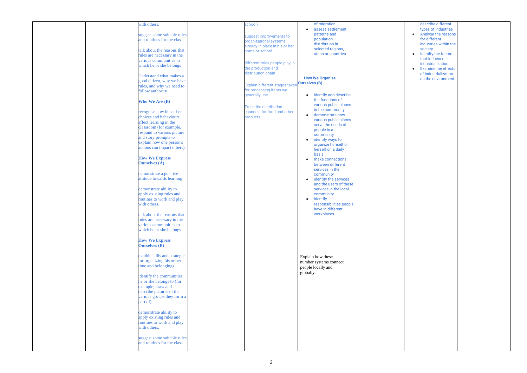| describe different         |  |
|----------------------------|--|
| types of industries        |  |
| Analyse the reasons        |  |
| for different              |  |
| industries within the      |  |
| society.                   |  |
| Identify the factors       |  |
| that influence             |  |
| industrialization          |  |
| <b>Examine the effects</b> |  |
| of industrialization       |  |
| on the environment         |  |
|                            |  |
|                            |  |
|                            |  |
|                            |  |
|                            |  |
|                            |  |
|                            |  |
|                            |  |
|                            |  |
|                            |  |
|                            |  |
|                            |  |
|                            |  |
|                            |  |
|                            |  |
|                            |  |
|                            |  |
|                            |  |
|                            |  |
|                            |  |
|                            |  |
|                            |  |
|                            |  |
|                            |  |
|                            |  |
|                            |  |
|                            |  |
|                            |  |
|                            |  |
|                            |  |
|                            |  |
|                            |  |
|                            |  |
|                            |  |
|                            |  |
|                            |  |
|                            |  |
|                            |  |
|                            |  |
|                            |  |
|                            |  |
|                            |  |
|                            |  |
|                            |  |
|                            |  |
|                            |  |
|                            |  |
|                            |  |
|                            |  |
|                            |  |
|                            |  |
|                            |  |
|                            |  |
|                            |  |
|                            |  |

|  | with others.                                         | school)                        | of migration                                    |  |
|--|------------------------------------------------------|--------------------------------|-------------------------------------------------|--|
|  |                                                      |                                | assess settlement<br>$\bullet$                  |  |
|  | suggest some suitable rules                          | suggest improvements to        | patterns and                                    |  |
|  | and routines for the class                           | organizational systems         | population<br>distribution in                   |  |
|  |                                                      | already in place in his or her | selected regions,                               |  |
|  | talk about the reasons that                          | home or school.                | areas or countries                              |  |
|  | rules are necessary in the<br>various communities to |                                |                                                 |  |
|  | which he or she belongs                              | different roles people play in |                                                 |  |
|  |                                                      | the production and             |                                                 |  |
|  | Understand what makes a                              | distribution chain             |                                                 |  |
|  | good citizen, why we have                            |                                | <b>How We Organise</b>                          |  |
|  | rules, and why we need to                            | Explain different stages taken | <b>Ourselves (B)</b>                            |  |
|  | follow authority                                     | for processing items we        |                                                 |  |
|  |                                                      | generally use                  | identify and describe<br>$\bullet$              |  |
|  | <b>Who We Are (B)</b>                                |                                | the functions of                                |  |
|  |                                                      | <b>Trace the distribution</b>  | various public places                           |  |
|  | recognise how his or her                             | channels for food and other    | in the community                                |  |
|  | choices and behaviours                               | products                       | demonstrate how<br>$\bullet$                    |  |
|  | affect learning in the                               |                                | various public places<br>serve the needs of     |  |
|  | classroom (for example,                              |                                | people in a                                     |  |
|  | respond to various picture                           |                                | community                                       |  |
|  | and story prompts to                                 |                                | identify ways to<br>$\bullet$                   |  |
|  | explain how one person's                             |                                | organize himself or                             |  |
|  | actions can impact others).                          |                                | herself on a daily                              |  |
|  |                                                      |                                | <b>basis</b>                                    |  |
|  | <b>How We Express</b><br><b>Ourselves</b> (A)        |                                | make connections                                |  |
|  |                                                      |                                | between different                               |  |
|  | demonstrate a positive                               |                                | services in the                                 |  |
|  | attitude towards learning                            |                                | community<br>identify the services<br>$\bullet$ |  |
|  |                                                      |                                | and the users of these                          |  |
|  | demonstrate ability to                               |                                | services in the local                           |  |
|  | apply existing rules and                             |                                | community                                       |  |
|  | routines to work and play                            |                                | identify<br>$\bullet$                           |  |
|  | with others.                                         |                                | responsibilities people                         |  |
|  |                                                      |                                | have in different                               |  |
|  | talk about the reasons that                          |                                | workplaces                                      |  |
|  | rules are necessary in the                           |                                |                                                 |  |
|  | various communities to                               |                                |                                                 |  |
|  | which he or she belongs                              |                                |                                                 |  |
|  |                                                      |                                |                                                 |  |
|  | <b>How We Express</b>                                |                                |                                                 |  |
|  | <b>Ourselves</b> (B)                                 |                                |                                                 |  |
|  | exhibit skills and strategies                        |                                |                                                 |  |
|  | for organizing his or her                            |                                | Explain how these                               |  |
|  | time and belongings                                  |                                | number systems connect                          |  |
|  |                                                      |                                | people locally and<br>globally.                 |  |
|  | identify the communities                             |                                |                                                 |  |
|  | he or she belongs to (for                            |                                |                                                 |  |
|  | example, draw and                                    |                                |                                                 |  |
|  | describe pictures of the                             |                                |                                                 |  |
|  | various groups they form a                           |                                |                                                 |  |
|  | part of)                                             |                                |                                                 |  |
|  |                                                      |                                |                                                 |  |
|  | demonstrate ability to                               |                                |                                                 |  |
|  | apply existing rules and                             |                                |                                                 |  |
|  | routines to work and play<br>with others.            |                                |                                                 |  |
|  |                                                      |                                |                                                 |  |
|  | suggest some suitable rules                          |                                |                                                 |  |
|  | and routines for the class                           |                                |                                                 |  |
|  |                                                      |                                |                                                 |  |
|  |                                                      |                                |                                                 |  |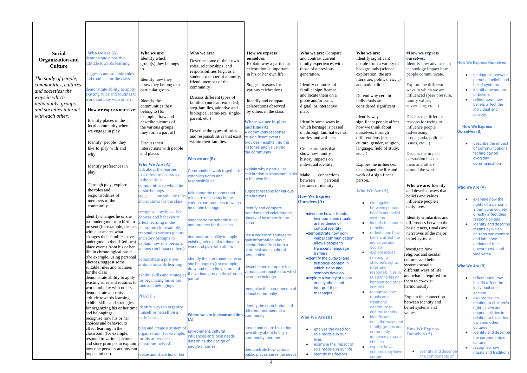| <b>Social</b>              | Who we are $(A)$                                             | Who we are:                                               | Who we are:                                                    | How we express                                           | Who we are: Compare                            | Who we are:                                        | #How we express                                   |                                           |
|----------------------------|--------------------------------------------------------------|-----------------------------------------------------------|----------------------------------------------------------------|----------------------------------------------------------|------------------------------------------------|----------------------------------------------------|---------------------------------------------------|-------------------------------------------|
| <b>Organization and</b>    | lemonstrate a positive<br>attitude towards learning          | Identify which                                            | Describe some of their own                                     | ourselves:                                               | and contrast current                           | Identify significant                               | ourselves:                                        | <b>How We Express Ourselves</b>           |
| <b>Culture</b>             |                                                              | $group(s)$ they belongs                                   | roles, relationships, and                                      | Explain why a particular<br>celebration is important     | family experiences with<br>those of a previous | people from a variety of<br>backgrounds (science,  | Identify how advances in<br>technology impact how |                                           |
|                            | suggest some suitable rules                                  |                                                           | responsibilities (e.g., as a                                   | in his or her own life                                   | generation.                                    | exploration, the arts,                             | people communicate.                               | distinguish between                       |
| The study of people,       | and routines for the class                                   | Identify how they                                         | student, member of a family,                                   |                                                          |                                                | literature, politics, etc)                         |                                                   | personal beliefs and                      |
| communities, cultures      |                                                              | know they belong to a                                     | friend, member of the                                          | Suggest reasons for                                      | Identify countries of                          | and nationalities                                  | Explore the different                             | belief systems                            |
| and societies; the         | demonstrate ability to apply                                 | particular group                                          | community)                                                     | various celebrations                                     | familial significance,                         |                                                    | ways in which we are                              | identify the source                       |
| ways in which              | existing rules and routines to                               |                                                           | Discuss different types of                                     |                                                          | and locate them on a                           | Defend why certain                                 | influenced (peer pressure,                        | of beliefs                                |
| <i>individuals, groups</i> | work and play with others.                                   | Identify the                                              | families (nuclear, extended,                                   | Identify and compare                                     | globe and/or print,                            | individuals are                                    | family values,                                    | reflect upon how<br>beliefs affect the    |
| and societies interact     | How we express ourselves                                     | communities they                                          | step-families, adoptive and                                    | celebrations observed                                    | digital, or interactive                        | considered significant                             | advertising, etc).                                | individual and                            |
|                            |                                                              | belong to (for                                            | biological, same-sex, single-                                  | by others in the class                                   | map.                                           |                                                    |                                                   | society.                                  |
| with each other.           | Identify places in the                                       | example, draw and<br>describe pictures of                 | parent, etc.)                                                  | Where we are in place                                    | Identify some ways in                          | Identify ways<br>significant people affect         | Discuss the different<br>reasons for trying to    |                                           |
|                            | local community where                                        | the various groups                                        |                                                                | and time $(A)$                                           | which heritage is passed                       | how we think about                                 | influence people                                  | <b>How We Express</b>                     |
|                            | we engage in play                                            | they form a part of)                                      | Describe the types of roles                                    | A community response                                     | on through familial events,                    | ourselves, through                                 | (advertising,                                     | <b>Ourselves (B)</b>                      |
|                            |                                                              |                                                           | and responsibilities that exist                                | to significant events                                    | stories, and artifacts.                        | different lens (race,                              | propaganda, political                             |                                           |
|                            | Identify people they                                         | Discuss their                                             | within their families.                                         | provides insights into the                               |                                                | culture, gender, religion,                         | issues, $etc$ ).                                  | describe the impact                       |
|                            | like to play with and                                        | interactions with people                                  |                                                                | histories and value into                                 | Create artefacts that                          | language, field of study,                          |                                                   | of communications                         |
|                            | why                                                          | and places                                                |                                                                | the community                                            | show how family                                | etc)                                               | Discuss the impact                                | technology on                             |
|                            |                                                              |                                                           | Who we are (B)                                                 |                                                          | history impacts on                             |                                                    | persuasion has on<br>them and others              | everyday<br>communication                 |
|                            | Identify preferences in                                      | <b>Who We Are (A)</b><br>talk about the reasons           |                                                                | explain why a particular                                 | individual identity.                           | Explore the influences<br>that shaped the life and | around the world                                  |                                           |
|                            | play                                                         | that rules are necessary                                  | Communities work together to<br>establish rights and           | celebration is important in his                          | Make<br>connections                            | work of a significant                              |                                                   |                                           |
|                            |                                                              | in the various                                            | responsibilities                                               | or her own life                                          | between<br>personal                            | person.                                            |                                                   |                                           |
|                            | Through play, explore                                        | communities to which he                                   |                                                                |                                                          | features of identity                           |                                                    | Who we are: Identify                              | <b>Who We Are (A)</b>                     |
|                            | the roles and                                                | or she belongs                                            | talk about the reasons that                                    | suggest reasons for various                              |                                                | <b>Who We Are (A)</b>                              | and describe ways that                            |                                           |
|                            | responsibilities of                                          | suggest some suitable rules                               | rules are necessary in the                                     | celebrations                                             | <b>How We Express</b>                          |                                                    | beliefs and values                                | examine how the                           |
|                            | members of the<br>community                                  | and routines for the class                                | various communities to which                                   |                                                          | <b>Ourselves</b> (A)                           | distinguish                                        | influence people's                                | rights of a person in                     |
|                            |                                                              | recognise how his or her                                  | he or she belongs                                              | identify and compare                                     |                                                | between persona                                    | daily lives.                                      | a particular society                      |
|                            | identify changes he or she                                   | choices and behaviours                                    |                                                                | traditions and celebrations<br>observed by others in the | <b>odescribe how artifacts,</b>                | beliefs and belief<br>systems                      | Identify similarities and                         | directly affect their                     |
|                            | has undergone from birth to                                  | affect learning in the                                    | suggest some suitable rules                                    | class                                                    | heirlooms and rituals<br>are evidence of       | identify the sourc<br>$\bullet$                    | differences between the                           | responsibilities<br>identify and describe |
|                            | present (for example, discuss                                | classroom (for example,                                   | and routines for the class                                     |                                                          | cultural identity                              | of beliefs                                         | basic tenets, rituals and                         | means by which                            |
|                            | with classmates what                                         | respond to various picture                                |                                                                | use a variety of sources to                              | <b>•demonstrate how non-</b>                   | reflect upon how<br>$\bullet$                      | narratives of the major                           | citizens can monitor                      |
|                            | changes their families have<br>undergone in their lifetimes) | and story prompts to                                      | demonstrate ability to apply<br>existing rules and routines to | gain information about                                   | verbal communication                           | beliefs affect the<br>individual and               | belief systems.                                   | and influence                             |
|                            | place events from his or her                                 | explain how one person's<br>actions can impact others)    | work and play with others                                      | celebrations from both a                                 | allows people to<br>transcend language         | society.                                           |                                                   | actions of their                          |
|                            | life in chronological order                                  |                                                           |                                                                | historical and a cultural                                | barriers.                                      | explore issues                                     | Investigate how<br>religious and secular          | governments and<br>vice versa             |
|                            | (for example, using personal                                 | demonstrate a positive                                    | identify the communities he or                                 | perspective                                              | oidentify the cultural and                     | relating to                                        | cultures and belief                               |                                           |
|                            | photos). suggest some                                        | attitude towards learning                                 | she belongs to (for example,                                   | describe and compare the                                 | historical context in                          | children's rights,                                 | systems sustain                                   | <b>Who We Are (B)</b>                     |
|                            | suitable rules and routines<br>for the class                 |                                                           | draw and describe pictures of                                  | various communities to which                             | which signs and<br>symbols develop             | roles and<br>responsibilities in                   | different ways of life                            |                                           |
|                            | demonstrate ability to apply                                 | exhibit skills and strategies                             | the various groups they form a<br>part of                      | he or she belongs                                        | explore a variety of signs                     | relation to his or                                 | and what is required for                          | reflect upon how                          |
|                            | existing rules and routines to                               | for organizing his or her                                 |                                                                |                                                          | and symbols and                                | her own and other                                  | them to co-exist                                  | beliefs affect the                        |
|                            | work and play with others.                                   | time and belongings                                       |                                                                | recognise the components of                              | interpret their                                | cultures                                           | harmoniously.                                     | individual and                            |
|                            | demonstrate a positive                                       | <b>PHASE 2</b>                                            |                                                                | a local community                                        | messages                                       | recognise how<br>rituals and                       | Explain the connection                            | society.                                  |
|                            | attitude towards learning<br>exhibit skills and strategies   |                                                           |                                                                |                                                          |                                                | traditions                                         | between identity and                              | explore issues<br>relating to children's  |
|                            | for organizing his or her time identify ways to organize     |                                                           |                                                                | identify the contributions of                            |                                                | contribute to                                      | belief systems and                                | rights, roles and                         |
|                            | and belongings                                               | himself or herself on a                                   | Where we are in place and time community                       | different members of a                                   |                                                | cultural identity                                  | values.                                           | responsibilities in                       |
|                            | recognise how his or her                                     | daily basis                                               |                                                                |                                                          | <b>Who We Are (B)</b>                          | identify and<br>$\bullet$<br>describe ways that    |                                                   | relation to his or her                    |
|                            | choices and behaviours                                       |                                                           |                                                                | create and share his or her                              |                                                | family, groups and                                 |                                                   | own and other<br>cultures                 |
|                            | affect learning in the<br>classroom (for example,            | plan and create a system of<br>organization (for example, | Environment, cultural                                          | own story about being a                                  | • analyse the need for                         | community                                          | <b>How We Express</b><br>Ourselves $(A)$          | identify and describe                     |
|                            | respond to various picture                                   | for his or her desk,                                      | influences and local needs                                     | community member.                                        | role models in our<br>lives                    | influence personal                                 |                                                   | the components of                         |
|                            | and story prompts to explain classroom, school)              |                                                           | determine the design of                                        |                                                          | examine the impact of                          | choices                                            |                                                   | culture                                   |
|                            | how one person's actions can                                 |                                                           | people's homes.                                                | demonstrate how various                                  | role models in our life                        | explore how<br>$\bullet$<br>cultures may have      | identify and describe<br>$\bullet$                | recognise how<br>$\bullet$                |
|                            | impact others).                                              | create and share his or her                               |                                                                | public places serve the needs                            | • identify the factors                         | certain                                            | the components of                                 | rituals and traditions                    |
|                            |                                                              |                                                           |                                                                | $\boldsymbol{\Lambda}$                                   |                                                |                                                    |                                                   |                                           |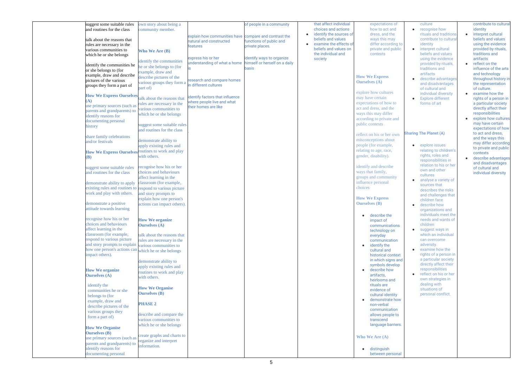| suggest some suitable rules                               | own story about being a     |                                 | of people in a community      | that affect individual               | expectations of           |
|-----------------------------------------------------------|-----------------------------|---------------------------------|-------------------------------|--------------------------------------|---------------------------|
| and routines for the class                                | community member.           |                                 |                               | choices and actions                  | how to act and            |
|                                                           |                             | explain how communities have    | compare and contrast the      | identify the sources of<br>$\bullet$ | dress, and the            |
| talk about the reasons that                               |                             | natural and constructed         | functions of public and       | beliefs and values                   | ways this may             |
| rules are necessary in the                                |                             | <b>features</b>                 | private places.               | examine the effects of               | differ according to       |
| various communities to                                    | <b>Who We Are (B)</b>       |                                 |                               | beliefs and values on                | private and public        |
| which he or she belongs                                   |                             |                                 |                               | the individual and                   | contexts                  |
|                                                           | identify the communities    | express his or her              | identify ways to organize     | society                              |                           |
| identify the communities he                               | the or she belongs to (for  | understanding of what a home    | himself or herself on a daily |                                      |                           |
| or she belongs to (for                                    |                             |                                 | basis                         |                                      |                           |
| example, draw and describe                                | example, draw and           |                                 |                               |                                      | <b>How We Express</b>     |
| pictures of the various                                   | describe pictures of the    | research and compare homes      |                               |                                      |                           |
| groups they form a part of                                | various groups they form a  | in different cultures           |                               |                                      | <b>Ourselves</b> (A)      |
|                                                           | part of)                    |                                 |                               |                                      |                           |
| <b>How We Express Ourselves</b>                           |                             |                                 |                               |                                      | explore how cultures      |
| A)                                                        | alk about the reasons that  | identify factors that influence |                               |                                      | may have certain          |
| use primary sources (such as                              | rules are necessary in the  | where people live and what      |                               |                                      | expectations of how to    |
| parents and grandparents) to                              | various communities to      | their homes are like            |                               |                                      | act and dress, and the    |
| identify reasons for                                      | which he or she belongs     |                                 |                               |                                      | ways this may differ      |
| documenting personal                                      |                             |                                 |                               |                                      | according to private and  |
| history                                                   | suggest some suitable rules |                                 |                               |                                      | public contexts           |
|                                                           | and routines for the class  |                                 |                               |                                      |                           |
|                                                           |                             |                                 |                               |                                      | reflect on his or her own |
| share family celebrations                                 | demonstrate ability to      |                                 |                               |                                      | misconceptions about      |
| and/or festivals                                          |                             |                                 |                               |                                      | people (for example,      |
|                                                           | apply existing rules and    |                                 |                               |                                      |                           |
| <b>How We Express Ourselves</b>                           | routines to work and play   |                                 |                               |                                      | relating to age, race,    |
| <b>(B)</b>                                                | with others.                |                                 |                               |                                      | gender, disability).      |
|                                                           |                             |                                 |                               |                                      |                           |
| suggest some suitable rules                               | recognise how his or her    |                                 |                               |                                      | identify and describe     |
| and routines for the class                                | choices and behaviours      |                                 |                               |                                      | ways that family,         |
|                                                           | affect learning in the      |                                 |                               |                                      | groups and community      |
| demonstrate ability to apply                              | classroom (for example,     |                                 |                               |                                      | influence personal        |
| existing rules and routines to respond to various picture |                             |                                 |                               |                                      | choices                   |
| work and play with others.                                | and story prompts to        |                                 |                               |                                      |                           |
|                                                           | explain how one person's    |                                 |                               |                                      | <b>How We Express</b>     |
| demonstrate a positive                                    | actions can impact others). |                                 |                               |                                      | <b>Ourselves</b> (B)      |
| attitude towards learning                                 |                             |                                 |                               |                                      |                           |
|                                                           |                             |                                 |                               |                                      | • describe the            |
| recognise how his or her                                  | <b>How We organize</b>      |                                 |                               |                                      | impact of                 |
| choices and behaviours                                    | <b>Ourselves</b> (A)        |                                 |                               |                                      | communications            |
| affect learning in the                                    |                             |                                 |                               |                                      | technology on             |
| classroom (for example,                                   | talk about the reasons that |                                 |                               |                                      | everyday                  |
| respond to various picture                                | rules are necessary in the  |                                 |                               |                                      | communication             |
| and story prompts to explain                              | various communities to      |                                 |                               |                                      | identify the              |
| how one person's actions can                              | which he or she belongs     |                                 |                               |                                      | cultural and              |
| impact others).                                           |                             |                                 |                               |                                      | historical context        |
|                                                           | demonstrate ability to      |                                 |                               |                                      | in which signs and        |
|                                                           |                             |                                 |                               |                                      | symbols develop           |
| <b>How We organize</b>                                    | apply existing rules and    |                                 |                               |                                      | describe how              |
| <b>Ourselves</b> (A)                                      | routines to work and play   |                                 |                               |                                      | artifacts,                |
|                                                           | with others.                |                                 |                               |                                      | heirlooms and             |
| identify the                                              |                             |                                 |                               |                                      | rituals are               |
| communities he or she                                     | <b>How We Organise</b>      |                                 |                               |                                      | evidence of               |
| belongs to (for                                           | <b>Ourselves</b> (B)        |                                 |                               |                                      | cultural identity         |
| example, draw and                                         |                             |                                 |                               |                                      | demonstrate how           |
|                                                           | <b>PHASE 2</b>              |                                 |                               |                                      | non-verbal                |
| describe pictures of the                                  |                             |                                 |                               |                                      | communication             |
| various groups they                                       | describe and compare the    |                                 |                               |                                      | allows people to          |
| form a part of)                                           | various communities to      |                                 |                               |                                      | transcend                 |
|                                                           | which he or she belongs     |                                 |                               |                                      | language barriers.        |
| <b>How We Organise</b>                                    |                             |                                 |                               |                                      |                           |
| <b>Ourselves</b> (B)                                      | create graphs and charts to |                                 |                               |                                      |                           |
| use primary sources (such as                              | organize and interpret      |                                 |                               |                                      | <b>Who We Are (A)</b>     |
| parents and grandparents) to                              | information.                |                                 |                               |                                      |                           |
| identify reasons for                                      |                             |                                 |                               |                                      | distinguish               |
| documenting personal                                      |                             |                                 |                               |                                      | between personal          |
|                                                           |                             |                                 |                               |                                      |                           |

| to<br>ic<br>l                           | culture<br>recognise how<br>rituals and traditions<br>contribute to cultural<br>identity<br>interpret cultural<br>beliefs and values<br>using the evidence<br>provided by rituals,<br>traditions and<br>artifacts<br>describe advantages<br>and disadvantages<br>of cultural and<br>individual diversity<br><b>Explore different</b><br>forms of art                                                                                                                                                                                                                                                                                                                             | contribute to cultural<br>identity<br>interpret cultural<br>beliefs and values<br>using the evidence<br>provided by rituals,<br>traditions and<br>artifacts<br>reflect on the<br>influence of the arts<br>and technology<br>throughout history in<br>the representation<br>of culture.<br>examine how the<br>rights of a person in<br>a particular society<br>directly affect their<br>responsibilities<br>explore how cultures<br>may have certain |
|-----------------------------------------|----------------------------------------------------------------------------------------------------------------------------------------------------------------------------------------------------------------------------------------------------------------------------------------------------------------------------------------------------------------------------------------------------------------------------------------------------------------------------------------------------------------------------------------------------------------------------------------------------------------------------------------------------------------------------------|-----------------------------------------------------------------------------------------------------------------------------------------------------------------------------------------------------------------------------------------------------------------------------------------------------------------------------------------------------------------------------------------------------------------------------------------------------|
| $\mathbf{1}$<br>S<br>ςt<br>nd<br>þ<br>Ŵ | <b>Sharing The Planet (A)</b><br>explore issues<br>relating to children's<br>rights, roles and<br>responsibilities in<br>relation to his or her<br>own and other<br>cultures<br>analyse a variety of<br>sources that<br>describes the risks<br>and challenges that<br>children face<br>describe how<br>organizations and<br>individuals meet the<br>needs and wants of<br>children<br>suggest ways in<br>which an individual<br>can overcome<br>adversity.<br>examine how the<br>rights of a person in<br>a particular society<br>directly affect their<br>responsibilities<br>reflect on his or her<br>own strategies in<br>dealing with<br>situations of<br>personal conflict. | expectations of how<br>to act and dress,<br>and the ways this<br>may differ according<br>to private and public<br>contexts<br>describe advantages<br>and disadvantages<br>of cultural and<br>individual diversity                                                                                                                                                                                                                                   |
| Ś.                                      |                                                                                                                                                                                                                                                                                                                                                                                                                                                                                                                                                                                                                                                                                  |                                                                                                                                                                                                                                                                                                                                                                                                                                                     |
| al                                      |                                                                                                                                                                                                                                                                                                                                                                                                                                                                                                                                                                                                                                                                                  |                                                                                                                                                                                                                                                                                                                                                                                                                                                     |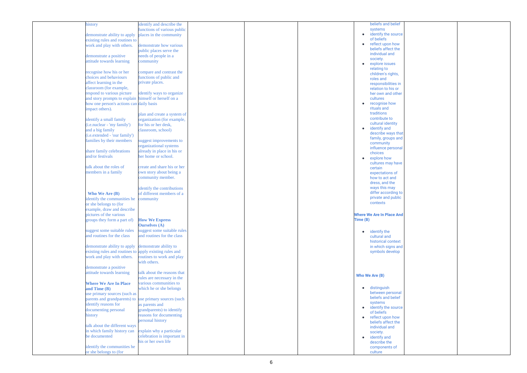| history                                                 | identify and describe the   |  |                | beliefs and belief               |
|---------------------------------------------------------|-----------------------------|--|----------------|----------------------------------|
|                                                         | functions of various public |  |                | systems                          |
|                                                         |                             |  |                |                                  |
| demonstrate ability to apply                            | places in the community     |  | $\bullet$      | identify the source              |
| existing rules and routines to                          |                             |  |                | of beliefs                       |
|                                                         |                             |  |                | • reflect upon how               |
| work and play with others.                              | demonstrate how various     |  |                |                                  |
|                                                         | public places serve the     |  |                | beliefs affect the               |
|                                                         |                             |  |                | individual and                   |
| demonstrate a positive                                  | needs of people in a        |  |                | society.                         |
| attitude towards learning                               | community                   |  |                |                                  |
|                                                         |                             |  |                | explore issues                   |
|                                                         |                             |  |                | relating to                      |
| recognise how his or her                                | compare and contrast the    |  |                | children's rights,               |
| choices and behaviours                                  | functions of public and     |  |                | roles and                        |
|                                                         |                             |  |                |                                  |
| affect learning in the                                  | private places.             |  |                | responsibilities in              |
| classroom (for example,                                 |                             |  |                | relation to his or               |
| respond to various picture                              | identify ways to organize   |  |                | her own and other                |
|                                                         |                             |  |                |                                  |
| and story prompts to explain himself or herself on a    |                             |  |                | cultures                         |
| how one person's actions can daily basis                |                             |  |                | recognise how                    |
|                                                         |                             |  |                | rituals and                      |
| impact others).                                         |                             |  |                |                                  |
|                                                         | plan and create a system of |  |                | traditions                       |
| identify a small family                                 | organization (for example,  |  |                | contribute to                    |
|                                                         |                             |  |                | cultural identity                |
| ( <i>i.e.nuclear</i> - 'my family')                     | for his or her desk,        |  |                |                                  |
| and a big family                                        | classroom, school)          |  |                | identify and                     |
|                                                         |                             |  |                | describe ways that               |
| (i.e.extended - 'our family')                           |                             |  |                |                                  |
| families by their members                               | suggest improvements to     |  |                | family, groups and               |
|                                                         |                             |  |                | community                        |
|                                                         | organizational systems      |  |                | influence personal               |
| share family celebrations                               | already in place in his or  |  |                | choices                          |
| and/or festivals                                        | her home or school.         |  |                |                                  |
|                                                         |                             |  |                | explore how                      |
|                                                         |                             |  |                | cultures may have                |
| talk about the roles of                                 | create and share his or her |  |                | certain                          |
|                                                         |                             |  |                |                                  |
| members in a family                                     | own story about being a     |  |                | expectations of                  |
|                                                         | community member.           |  |                | how to act and                   |
|                                                         |                             |  |                | dress, and the                   |
|                                                         |                             |  |                |                                  |
|                                                         | identify the contributions  |  |                | ways this may                    |
| <b>Who We Are (B)</b>                                   | of different members of a   |  |                | differ according to              |
|                                                         |                             |  |                | private and public               |
| identify the communities he community                   |                             |  |                |                                  |
| or she belongs to (for                                  |                             |  |                | contexts                         |
| example, draw and describe                              |                             |  |                |                                  |
|                                                         |                             |  |                |                                  |
| pictures of the various                                 |                             |  |                | <b>Where We Are In Place And</b> |
| groups they form a part of)                             | <b>How We Express</b>       |  | Time (B)       |                                  |
|                                                         |                             |  |                |                                  |
|                                                         | <b>Ourselves</b> (A)        |  |                |                                  |
| suggest some suitable rules                             | suggest some suitable rules |  |                |                                  |
|                                                         |                             |  | $\bullet$      | identify the                     |
| and routines for the class                              | and routines for the class  |  |                | cultural and                     |
|                                                         |                             |  |                | historical context               |
| demonstrate ability to apply                            | demonstrate ability to      |  |                | in which signs and               |
|                                                         |                             |  |                |                                  |
| existing rules and routines to apply existing rules and |                             |  |                | symbols develop                  |
| work and play with others.                              | routines to work and play   |  |                |                                  |
|                                                         | with others.                |  |                |                                  |
|                                                         |                             |  |                |                                  |
| demonstrate a positive                                  |                             |  |                |                                  |
| attitude towards learning                               | talk about the reasons that |  |                |                                  |
|                                                         |                             |  | Who We Are (B) |                                  |
|                                                         | rules are necessary in the  |  |                |                                  |
| <b>Where We Are In Place</b>                            | various communities to      |  |                |                                  |
|                                                         |                             |  |                | distinguish                      |
| and Time $(B)$                                          | which he or she belongs     |  |                |                                  |
| use primary sources (such as                            |                             |  |                | between personal                 |
| parents and grandparents) to use primary sources (such  |                             |  |                | beliefs and belief               |
|                                                         |                             |  |                | systems                          |
| identify reasons for                                    | as parents and              |  |                |                                  |
| documenting personal                                    | grandparents) to identify   |  |                | identify the source              |
|                                                         |                             |  |                | of beliefs                       |
| history                                                 | reasons for documenting     |  | $\bullet$      | reflect upon how                 |
|                                                         | personal history            |  |                | beliefs affect the               |
| talk about the different ways                           |                             |  |                |                                  |
|                                                         |                             |  |                | individual and                   |
| in which family history can                             | explain why a particular    |  |                | society.                         |
| be documented                                           | celebration is important in |  |                | identify and                     |
|                                                         | his or her own life         |  |                |                                  |
|                                                         |                             |  |                | describe the                     |
| identify the communities he                             |                             |  |                | components of                    |
| or she belongs to (for                                  |                             |  |                | culture                          |
|                                                         |                             |  |                |                                  |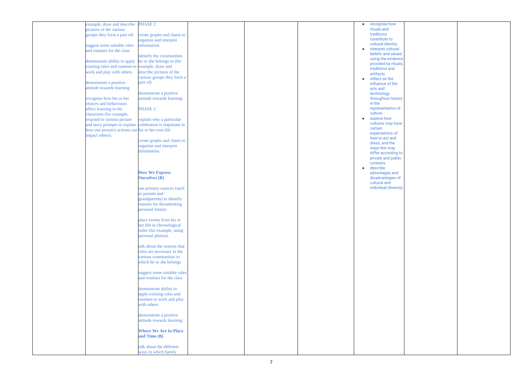| example, draw and describe                               | <b>PHASE 2</b>               |  | $\bullet$ | recognise how        |  |
|----------------------------------------------------------|------------------------------|--|-----------|----------------------|--|
| pictures of the various                                  |                              |  |           | rituals and          |  |
| groups they form a part of)                              | create graphs and charts to  |  |           | traditions           |  |
|                                                          |                              |  |           | contribute to        |  |
|                                                          | organize and interpret       |  |           |                      |  |
| suggest some suitable rules                              | information.                 |  |           | cultural identity    |  |
| and routines for the class                               |                              |  | $\bullet$ | interpret cultural   |  |
|                                                          |                              |  |           | beliefs and values   |  |
|                                                          | identify the communities     |  |           |                      |  |
| demonstrate ability to apply                             | he or she belongs to (for    |  |           | using the evidence   |  |
|                                                          |                              |  |           | provided by rituals, |  |
| existing rules and routines to example, draw and         |                              |  |           | traditions and       |  |
| work and play with others.                               | describe pictures of the     |  |           | artifacts            |  |
|                                                          | various groups they form a   |  |           | reflect on the       |  |
|                                                          | part of)                     |  | $\bullet$ |                      |  |
| demonstrate a positive                                   |                              |  |           | influence of the     |  |
| attitude towards learning                                |                              |  |           | arts and             |  |
|                                                          | demonstrate a positive       |  |           | technology           |  |
|                                                          |                              |  |           |                      |  |
| recognise how his or her                                 | attitude towards learning    |  |           | throughout history   |  |
| choices and behaviours                                   |                              |  |           | in the               |  |
| affect learning in the                                   | PHASE 2                      |  |           | representation of    |  |
|                                                          |                              |  |           | culture.             |  |
| classroom (for example,                                  |                              |  |           |                      |  |
| respond to various picture                               | explain why a particular     |  | $\bullet$ | explore how          |  |
| and story prompts to explain celebration is important in |                              |  |           | cultures may have    |  |
|                                                          |                              |  |           | certain              |  |
| how one person's actions can his or her own life         |                              |  |           | expectations of      |  |
| impact others).                                          |                              |  |           |                      |  |
|                                                          | create graphs and charts to  |  |           | how to act and       |  |
|                                                          |                              |  |           | dress, and the       |  |
|                                                          | organize and interpret       |  |           | ways this may        |  |
|                                                          | information.                 |  |           | differ according to  |  |
|                                                          |                              |  |           |                      |  |
|                                                          |                              |  |           | private and public   |  |
|                                                          |                              |  |           | contexts             |  |
|                                                          |                              |  | $\bullet$ | describe             |  |
|                                                          | <b>How We Express</b>        |  |           | advantages and       |  |
|                                                          |                              |  |           |                      |  |
|                                                          | <b>Ourselves (B)</b>         |  |           | disadvantages of     |  |
|                                                          |                              |  |           | cultural and         |  |
|                                                          | use primary sources (such    |  |           | individual diversity |  |
|                                                          |                              |  |           |                      |  |
|                                                          | as parents and               |  |           |                      |  |
|                                                          | grandparents) to identify    |  |           |                      |  |
|                                                          | reasons for documenting      |  |           |                      |  |
|                                                          |                              |  |           |                      |  |
|                                                          | personal history             |  |           |                      |  |
|                                                          |                              |  |           |                      |  |
|                                                          | place events from his or     |  |           |                      |  |
|                                                          |                              |  |           |                      |  |
|                                                          | her life in chronological    |  |           |                      |  |
|                                                          | order (for example, using    |  |           |                      |  |
|                                                          | personal photos).            |  |           |                      |  |
|                                                          |                              |  |           |                      |  |
|                                                          |                              |  |           |                      |  |
|                                                          | talk about the reasons that  |  |           |                      |  |
|                                                          | rules are necessary in the   |  |           |                      |  |
|                                                          |                              |  |           |                      |  |
|                                                          | various communities to       |  |           |                      |  |
|                                                          | which he or she belongs      |  |           |                      |  |
|                                                          |                              |  |           |                      |  |
|                                                          |                              |  |           |                      |  |
|                                                          | suggest some suitable rules  |  |           |                      |  |
|                                                          | and routines for the class   |  |           |                      |  |
|                                                          |                              |  |           |                      |  |
|                                                          |                              |  |           |                      |  |
|                                                          | demonstrate ability to       |  |           |                      |  |
|                                                          | apply existing rules and     |  |           |                      |  |
|                                                          | routines to work and play    |  |           |                      |  |
|                                                          |                              |  |           |                      |  |
|                                                          | with others.                 |  |           |                      |  |
|                                                          |                              |  |           |                      |  |
|                                                          | demonstrate a positive       |  |           |                      |  |
|                                                          |                              |  |           |                      |  |
|                                                          | attitude towards learning    |  |           |                      |  |
|                                                          |                              |  |           |                      |  |
|                                                          | <b>Where We Are In Place</b> |  |           |                      |  |
|                                                          |                              |  |           |                      |  |
|                                                          | and Time (B)                 |  |           |                      |  |
|                                                          |                              |  |           |                      |  |
|                                                          | talk about the different     |  |           |                      |  |
|                                                          |                              |  |           |                      |  |
|                                                          | ways in which family         |  |           |                      |  |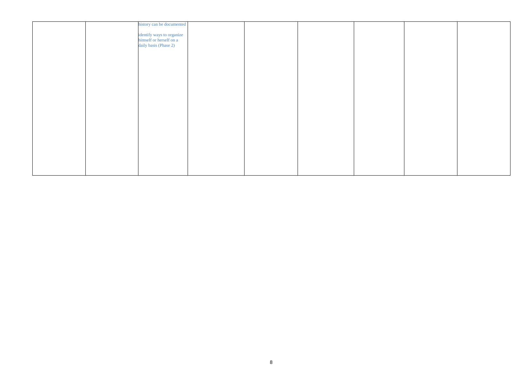|  | history can be documented                            |  |  |
|--|------------------------------------------------------|--|--|
|  |                                                      |  |  |
|  |                                                      |  |  |
|  |                                                      |  |  |
|  | identify ways to organize<br>himself or herself on a |  |  |
|  | daily basis (Phase 2)                                |  |  |
|  |                                                      |  |  |
|  |                                                      |  |  |
|  |                                                      |  |  |
|  |                                                      |  |  |
|  |                                                      |  |  |
|  |                                                      |  |  |
|  |                                                      |  |  |
|  |                                                      |  |  |
|  |                                                      |  |  |
|  |                                                      |  |  |
|  |                                                      |  |  |
|  |                                                      |  |  |
|  |                                                      |  |  |
|  |                                                      |  |  |
|  |                                                      |  |  |
|  |                                                      |  |  |
|  |                                                      |  |  |
|  |                                                      |  |  |
|  |                                                      |  |  |
|  |                                                      |  |  |
|  |                                                      |  |  |
|  |                                                      |  |  |
|  |                                                      |  |  |
|  |                                                      |  |  |
|  |                                                      |  |  |
|  |                                                      |  |  |
|  |                                                      |  |  |
|  |                                                      |  |  |
|  |                                                      |  |  |
|  |                                                      |  |  |
|  |                                                      |  |  |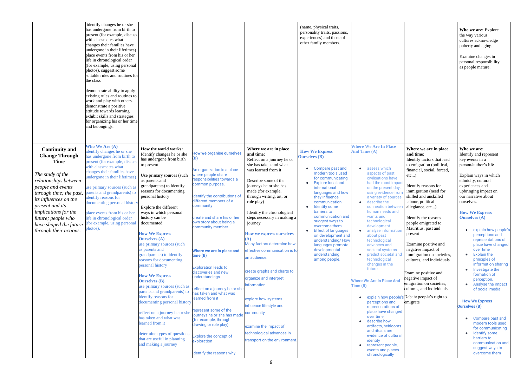| <b>Who We Are (A)</b><br><b>Where We Are In Place</b><br>How the world works:<br>Where we are in place<br>Where we are in place<br><b>Continuity and</b><br>Who we are:<br>dentify changes he or she<br><b>How We Express</b><br>And Time (A)<br><b>How we organise ourselves</b><br>Identify changes he or she<br>and time:<br>and time:<br>Identify and represent<br><b>Change Through</b><br>as undergone from birth to<br><b>Ourselves</b> (B)<br>(B)<br>has undergone from birth<br>Reflect on a journey he or<br>Identify factors that lead<br>key events in a<br><b>Time</b><br>present (for example, discuss<br>she has taken and what<br>to emigration (political,<br>person/author's life.<br>to present<br>vith classmates what<br>Compare past and<br>assess which<br>$\bullet$<br>$\bullet$<br>financial, social, forced,<br>An organization is a place<br>was learned from it<br>changes their families have<br>modern tools used<br>aspects of past<br>The study of the<br>where people share<br>Explain ways in which<br>Use primary sources (such<br>etc<br>indergone in their lifetimes)<br>civilisations have<br>for communicating<br>responsibilities towards a<br>ethnicity, cultural<br>relationships between<br>Describe some of the<br>as parents and<br><b>Explore local and</b><br>had the most impact<br>common purpose.<br>grandparents) to identify<br>journeys he or she has<br>experiences and<br>Identify reasons for<br>people and events<br>use primary sources (such as<br>international<br>on the present day<br>made (for example,<br>reasons for documenting<br>upbringing impact on<br>immigration (need for<br>using evidence fron<br>parents and grandparents) to<br>languages and how<br>through time; the past,<br>identify the contributions of<br>personal history<br>through writing, art, or<br>skilled and unskilled<br>our narrative about<br>they influence<br>dentify reasons for<br>a variety of sources<br><i>its influences on the</i><br>different members of a<br>describe the<br>role play)<br>labour, political<br>ourselves.<br>communication<br>documenting personal history<br>$\bullet$<br>present and its<br>community<br>Identify some<br>connection between<br>allegiance, etc)<br>Explore the different<br>barriers to<br>human needs and<br>implications for the<br>ways in which personal<br>Identify the chronological<br><b>How We Express</b><br>place events from his or her<br>communication and<br>wants and<br>create and share his or her<br><b>Ourselves (A)</b><br>history can be<br>steps necessary in making a<br>Identify the reasons<br>life in chronological order<br>future; people who<br>technological<br>suggest ways to<br>own story about being a<br>people emigrated to<br>for example, using personal<br>documented<br>journey<br>have shaped the future<br>development<br>overcome them<br>community member.<br>Mauritius, past and<br>photos).<br>through their actions.<br>analyse information<br><b>Effect of languages</b><br>$\bullet$<br><b>How We Express</b><br><b>How we express ourselves</b><br>present<br>perceptions and<br>on development and<br>about past<br><b>Ourselves (A)</b><br>representations of<br>technological<br>understanding/How<br>Many factors determine how<br>use primary sources (such<br>Examine positive and<br>advances and<br>languages promote<br>as parents and<br>negative impact of<br>developmental<br>societal systems<br>over time<br>effective communication is to<br>Where we are in place and<br>predict societal an<br><b>Explain the</b><br>grandparents) to identify<br>understanding<br>immigration on societies,<br>time(B)<br>an audience.<br>technological<br>principles of<br>among people.<br>reasons for documenting<br>cultures, and individuals<br>changes in the<br>information sharing<br>personal history<br><b>Exploration leads to</b><br>future.<br>Investigate the<br>create graphs and charts to<br>discoveries and new<br>Examine positive and<br>formation of<br><b>How We Express</b><br>understandings<br>organize and interpret<br>negative impact of<br>perception.<br><b>Where We Are In Place And</b><br><b>Ourselves</b> (B)<br>emigration on societies,<br>Analyse the impact<br>information.<br>Time (B)<br>use primary sources (such as<br>reflect on a journey he or she<br>cultures, and individuals<br>of social media<br>parents and grandparents) to<br>as taken and what was<br>identify reasons for<br>explain how people's Debate people's right to<br>learned from it<br>explore how systems<br><b>How We Express</b><br>documenting personal history<br>perceptions and<br>emigrate<br>influence lifestyle and<br><b>Ourselves (B)</b><br>representations of<br>represent some of the<br>place have changed<br>reflect on a journey he or she<br>community<br>journeys he or she has made<br>over time<br>has taken and what was<br>Compare past and<br>(for example, through<br>describe how<br>modern tools used<br>learned from it<br>drawing or role play)<br>artifacts, heirlooms<br>examine the impact of<br>for communicating<br>and rituals are<br>Identify some<br>technological advances in<br>determine types of questions<br>evidence of cultural<br>Explore the concept of<br>barriers to<br>that are useful in planning<br>transport on the environment.<br>identity<br>exploration<br>communication and<br>and making a journey<br>represent people,<br>$\bullet$<br>suggest ways to<br>events and places<br>Identify the reasons why<br>overcome them<br>chronologically | with classmates what<br>photos). suggest some<br>the class<br>demonstrate a positive<br>attitude towards learning<br>and belongings. | identify changes he or she<br>has undergone from birth to<br>present (for example, discuss<br>changes their families have<br>undergone in their lifetimes)<br>place events from his or her<br>life in chronological order<br>(for example, using personal<br>suitable rules and routines for<br>demonstrate ability to apply<br>existing rules and routines to<br>work and play with others.<br>exhibit skills and strategies<br>for organizing his or her time |  | (name, physical traits,<br>personality traits, passions,<br>experiences) and those of<br>other family members. |  | Who we are: Explore<br>the way various<br>cultures acknowledge<br>puberty and aging.<br>Examine changes in<br>personal responsibility<br>as people mature. |
|--------------------------------------------------------------------------------------------------------------------------------------------------------------------------------------------------------------------------------------------------------------------------------------------------------------------------------------------------------------------------------------------------------------------------------------------------------------------------------------------------------------------------------------------------------------------------------------------------------------------------------------------------------------------------------------------------------------------------------------------------------------------------------------------------------------------------------------------------------------------------------------------------------------------------------------------------------------------------------------------------------------------------------------------------------------------------------------------------------------------------------------------------------------------------------------------------------------------------------------------------------------------------------------------------------------------------------------------------------------------------------------------------------------------------------------------------------------------------------------------------------------------------------------------------------------------------------------------------------------------------------------------------------------------------------------------------------------------------------------------------------------------------------------------------------------------------------------------------------------------------------------------------------------------------------------------------------------------------------------------------------------------------------------------------------------------------------------------------------------------------------------------------------------------------------------------------------------------------------------------------------------------------------------------------------------------------------------------------------------------------------------------------------------------------------------------------------------------------------------------------------------------------------------------------------------------------------------------------------------------------------------------------------------------------------------------------------------------------------------------------------------------------------------------------------------------------------------------------------------------------------------------------------------------------------------------------------------------------------------------------------------------------------------------------------------------------------------------------------------------------------------------------------------------------------------------------------------------------------------------------------------------------------------------------------------------------------------------------------------------------------------------------------------------------------------------------------------------------------------------------------------------------------------------------------------------------------------------------------------------------------------------------------------------------------------------------------------------------------------------------------------------------------------------------------------------------------------------------------------------------------------------------------------------------------------------------------------------------------------------------------------------------------------------------------------------------------------------------------------------------------------------------------------------------------------------------------------------------------------------------------------------------------------------------------------------------------------------------------------------------------------------------------------------------------------------------------------------------------------------------------------------------------------------------------------------------------------------------------------------------------------------------------------------------------------------------------------------------------------------------------------------------------------------------------------------------------------------------------------------------------------------------------------------------------------------------------------------------------------------------------------------------------------------------------------------------------------------------------------------------------------------------------------------------------------------------------------------------------------------------------------------------------------------------------------------------------------------------------------------------------------------------------------------------------------------------------------------------------------------------------------------------------------------------------------------------------|--------------------------------------------------------------------------------------------------------------------------------------|-----------------------------------------------------------------------------------------------------------------------------------------------------------------------------------------------------------------------------------------------------------------------------------------------------------------------------------------------------------------------------------------------------------------------------------------------------------------|--|----------------------------------------------------------------------------------------------------------------|--|------------------------------------------------------------------------------------------------------------------------------------------------------------|
|                                                                                                                                                                                                                                                                                                                                                                                                                                                                                                                                                                                                                                                                                                                                                                                                                                                                                                                                                                                                                                                                                                                                                                                                                                                                                                                                                                                                                                                                                                                                                                                                                                                                                                                                                                                                                                                                                                                                                                                                                                                                                                                                                                                                                                                                                                                                                                                                                                                                                                                                                                                                                                                                                                                                                                                                                                                                                                                                                                                                                                                                                                                                                                                                                                                                                                                                                                                                                                                                                                                                                                                                                                                                                                                                                                                                                                                                                                                                                                                                                                                                                                                                                                                                                                                                                                                                                                                                                                                                                                                                                                                                                                                                                                                                                                                                                                                                                                                                                                                                                                                                                                                                                                                                                                                                                                                                                                                                                                                                                                                                                                                |                                                                                                                                      |                                                                                                                                                                                                                                                                                                                                                                                                                                                                 |  |                                                                                                                |  | explain how people's<br>place have changed                                                                                                                 |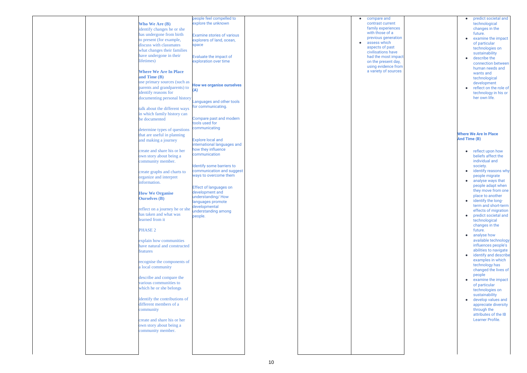|  |                                | people feel compelled to          |  | $\bullet$ | compare and          |
|--|--------------------------------|-----------------------------------|--|-----------|----------------------|
|  | <b>Who We Are (B)</b>          | explore the unknown               |  |           | contrast current     |
|  | identify changes he or she     |                                   |  |           | family experiences   |
|  | has undergone from birth       | <b>Examine stories of various</b> |  |           | with those of a      |
|  | to present (for example,       | explorers of land, ocean,         |  |           | previous generation  |
|  | discuss with classmates        | space                             |  | $\bullet$ | assess which         |
|  |                                |                                   |  |           | aspects of past      |
|  | what changes their families    |                                   |  |           | civilisations have   |
|  | have undergone in their        | Evaluate the impact of            |  |           | had the most impact  |
|  | lifetimes)                     | exploration over time             |  |           | on the present day,  |
|  |                                |                                   |  |           | using evidence from  |
|  | <b>Where We Are In Place</b>   |                                   |  |           | a variety of sources |
|  | and Time (B)                   |                                   |  |           |                      |
|  |                                |                                   |  |           |                      |
|  | use primary sources (such as   | <b>How we organise ourselves</b>  |  |           |                      |
|  | parents and grandparents) to   | (A)                               |  |           |                      |
|  | identify reasons for           |                                   |  |           |                      |
|  | documenting personal history   |                                   |  |           |                      |
|  |                                | Languages and other tools         |  |           |                      |
|  | talk about the different ways  | for communicating.                |  |           |                      |
|  | in which family history can    |                                   |  |           |                      |
|  |                                | Compare past and modern           |  |           |                      |
|  | be documented                  | tools used for                    |  |           |                      |
|  |                                |                                   |  |           |                      |
|  | determine types of questions   | communicating                     |  |           |                      |
|  | that are useful in planning    |                                   |  |           |                      |
|  | and making a journey           | <b>Explore local and</b>          |  |           |                      |
|  |                                | international languages and       |  |           |                      |
|  | create and share his or her    | how they influence                |  |           |                      |
|  |                                | communication                     |  |           |                      |
|  | own story about being a        |                                   |  |           |                      |
|  | community member.              |                                   |  |           |                      |
|  |                                | Identify some barriers to         |  |           |                      |
|  | create graphs and charts to    | communication and suggest         |  |           |                      |
|  | organize and interpret         | ways to overcome them             |  |           |                      |
|  | information.                   |                                   |  |           |                      |
|  |                                | <b>Effect of languages on</b>     |  |           |                      |
|  |                                |                                   |  |           |                      |
|  | <b>How We Organise</b>         | development and                   |  |           |                      |
|  | <b>Ourselves</b> (B)           | understanding/How                 |  |           |                      |
|  |                                | languages promote                 |  |           |                      |
|  | reflect on a journey he or she | developmental                     |  |           |                      |
|  | has taken and what was         | understanding among               |  |           |                      |
|  | learned from it                | people.                           |  |           |                      |
|  |                                |                                   |  |           |                      |
|  |                                |                                   |  |           |                      |
|  | <b>PHASE 2</b>                 |                                   |  |           |                      |
|  |                                |                                   |  |           |                      |
|  | explain how communities        |                                   |  |           |                      |
|  | have natural and constructed   |                                   |  |           |                      |
|  | features                       |                                   |  |           |                      |
|  |                                |                                   |  |           |                      |
|  |                                |                                   |  |           |                      |
|  | recognise the components of    |                                   |  |           |                      |
|  | a local community              |                                   |  |           |                      |
|  |                                |                                   |  |           |                      |
|  | describe and compare the       |                                   |  |           |                      |
|  | various communities to         |                                   |  |           |                      |
|  | which he or she belongs        |                                   |  |           |                      |
|  |                                |                                   |  |           |                      |
|  | identify the contributions of  |                                   |  |           |                      |
|  |                                |                                   |  |           |                      |
|  | different members of a         |                                   |  |           |                      |
|  | community                      |                                   |  |           |                      |
|  |                                |                                   |  |           |                      |
|  | create and share his or her    |                                   |  |           |                      |
|  | own story about being a        |                                   |  |           |                      |
|  | community member.              |                                   |  |           |                      |
|  |                                |                                   |  |           |                      |
|  |                                |                                   |  |           |                      |
|  |                                |                                   |  |           |                      |
|  |                                |                                   |  |           |                      |
|  |                                |                                   |  |           |                      |

| ٦t<br><b>nces</b><br>ation<br>۱t<br><b>ve</b><br>mpact<br>day,<br>e from<br><b>urces</b> |              | predict societal and<br>technological<br>changes in the<br>future.<br>examine the impact<br>of particular<br>technologies on<br>sustainability<br>describe the<br>connection between<br>human needs and<br>wants and<br>technological<br>development<br>reflect on the role of<br>technology in his or<br>her own life.                                                                                                                                                                                                                                                                                                                                                                                                                                     |
|------------------------------------------------------------------------------------------|--------------|-------------------------------------------------------------------------------------------------------------------------------------------------------------------------------------------------------------------------------------------------------------------------------------------------------------------------------------------------------------------------------------------------------------------------------------------------------------------------------------------------------------------------------------------------------------------------------------------------------------------------------------------------------------------------------------------------------------------------------------------------------------|
|                                                                                          | And Time (B) | <b>Where We Are In Place</b><br>reflect upon how<br>beliefs affect the<br>individual and<br>society.<br>identify reasons why<br>people migrate<br>analyse ways that<br>people adapt when<br>they move from one<br>place to another<br>identify the long-<br>term and short-term<br>effects of migration<br>predict societal and<br>technological<br>changes in the<br>future.<br>analyse how<br>available technology<br>influences people's<br>abilities to navigate<br>identify and describe<br>examples in which<br>technology has<br>changed the lives of<br>people<br>examine the impact<br>of particular<br>technologies on<br>sustainability<br>develop values and<br>appreciate diversity<br>through the<br>attributes of the IB<br>Learner Profile. |
|                                                                                          |              |                                                                                                                                                                                                                                                                                                                                                                                                                                                                                                                                                                                                                                                                                                                                                             |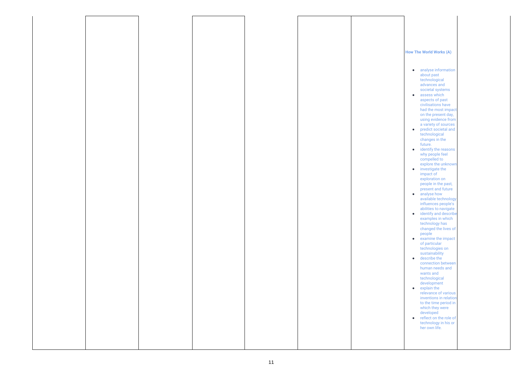## **How The World Works (A)**

- analyse information about past technological advances and societal systems
- **•** assess which aspects of past civilisations have had the most impact on the present day, using evidence from a variety of sources
- predict societal and technological changes in the future.
- identify the reasons why people feel compelled to explore the unknown
- investigate the impact of exploration on people in the past, present and future
- analyse how available technology influences people's abilities to navigate
- identify and describe examples in which technology has changed the lives of people
- examine the impact of particular technologies on sustainability
- describe the connection between human needs and wants and technological development
- explain the relevance of various inventions in relation to the time period in which they were developed
- reflect on the role of technology in his or her own life.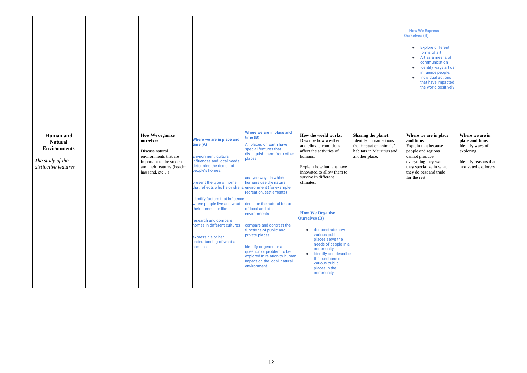| <b>How We Express</b><br><b>Ourselves (B)</b><br><b>Explore different</b><br>forms of art<br>Art as a means of<br>communication<br>Identify ways art can<br>influence people.<br><b>Individual actions</b><br>that have impacted<br>the world positively |                                                                                                                      |
|----------------------------------------------------------------------------------------------------------------------------------------------------------------------------------------------------------------------------------------------------------|----------------------------------------------------------------------------------------------------------------------|
| Where we are in place<br>and time:<br>Explain that because<br>people and regions<br>cannot produce<br>everything they want,<br>they specialize in what<br>they do best and trade<br>for the rest                                                         | Where we are in<br>place and time:<br>Identify ways of<br>exploring.<br>Identify reasons that<br>motivated explorers |

| <b>Human</b> and<br><b>Natural</b><br><b>Environments</b><br>The study of the<br>distinctive features | <b>How We organize</b><br>ourselves<br>Discuss natural<br>environments that are<br>important to the student<br>and their features (beach:<br>has sand, etc) | Where we are in place and<br>time (A)<br>Environment, cultural<br>influences and local needs<br>determine the design of<br>people's homes.<br>present the type of home<br>that reflects who he or she is environment (for example,<br>identify factors that influence<br>where people live and what<br>their homes are like<br>research and compare<br>homes in different cultures<br>express his or her<br>understanding of what a<br>home is | Where we are in place and<br>time (B)<br>All places on Earth have<br>special features that<br>distinguish them from other<br>places<br>analyse ways in which<br>humans use the natural<br>recreation, settlements)<br>describe the natural features<br>of local and other<br>environments<br>compare and contrast the<br>functions of public and<br>private places.<br>identify or generate a<br>question or problem to be<br>explored in relation to human<br>impact on the local, natural<br>environment. | How the world works:<br>Describe how weather<br>and climate conditions<br>affect the activities of<br>humans.<br>Explain how humans have<br>innovated to allow them to<br>survive in different<br>climates.<br><b>How We Organise</b><br><b>Ourselves</b> (B)<br>demonstrate how<br>$\bullet$<br>various public<br>places serve the<br>needs of people in a<br>community<br>identify and describe<br>$\bullet$<br>the functions of<br>various public<br>places in the<br>community | Sharing the planet:<br>Identify human actions<br>that impact on animals'<br>habitats in Mauritius and<br>another place. |
|-------------------------------------------------------------------------------------------------------|-------------------------------------------------------------------------------------------------------------------------------------------------------------|------------------------------------------------------------------------------------------------------------------------------------------------------------------------------------------------------------------------------------------------------------------------------------------------------------------------------------------------------------------------------------------------------------------------------------------------|-------------------------------------------------------------------------------------------------------------------------------------------------------------------------------------------------------------------------------------------------------------------------------------------------------------------------------------------------------------------------------------------------------------------------------------------------------------------------------------------------------------|------------------------------------------------------------------------------------------------------------------------------------------------------------------------------------------------------------------------------------------------------------------------------------------------------------------------------------------------------------------------------------------------------------------------------------------------------------------------------------|-------------------------------------------------------------------------------------------------------------------------|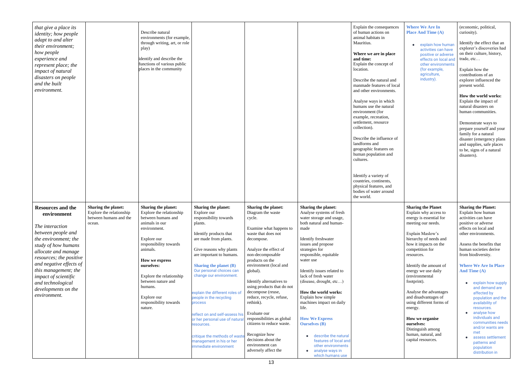| that give a place its<br><i>identity; how people</i><br>adapt to and alter<br>their environment;<br>how people<br>experience and<br>represent place; the<br>impact of natural<br>disasters on people<br>and the built<br>environment.                                                                                    |                                                                                     | Describe natural<br>environments (for example,<br>through writing, art, or role<br>play)<br>identify and describe the<br>functions of various public<br>places in the community                                                                                                                                      |                                                                                                                                                                                                                                                                                                                                                                                                                                                                                                                         |                                                                                                                                                                                                                                                                                                                                                                                                                                                                                                                       |                                                                                                                                                                                                                                                                                                                                                                                                                                                                                                                                                                     | Explain the consequences<br>of human actions on<br>animal habitats in<br>Mauritius.<br>Where we are in place<br>and time:<br>Explain the concept of<br>location.<br>Describe the natural and<br>manmade features of local<br>and other environments.<br>Analyse ways in which<br>humans use the natural<br>environment (for<br>example, recreation,<br>settlement, resource<br>collection).<br>Describe the influence of<br>landforms and<br>geographic features on<br>human population and<br>cultures.<br>Identify a variety of<br>countries, continents,<br>physical features, and<br>bodies of water around<br>the world. |
|--------------------------------------------------------------------------------------------------------------------------------------------------------------------------------------------------------------------------------------------------------------------------------------------------------------------------|-------------------------------------------------------------------------------------|----------------------------------------------------------------------------------------------------------------------------------------------------------------------------------------------------------------------------------------------------------------------------------------------------------------------|-------------------------------------------------------------------------------------------------------------------------------------------------------------------------------------------------------------------------------------------------------------------------------------------------------------------------------------------------------------------------------------------------------------------------------------------------------------------------------------------------------------------------|-----------------------------------------------------------------------------------------------------------------------------------------------------------------------------------------------------------------------------------------------------------------------------------------------------------------------------------------------------------------------------------------------------------------------------------------------------------------------------------------------------------------------|---------------------------------------------------------------------------------------------------------------------------------------------------------------------------------------------------------------------------------------------------------------------------------------------------------------------------------------------------------------------------------------------------------------------------------------------------------------------------------------------------------------------------------------------------------------------|-------------------------------------------------------------------------------------------------------------------------------------------------------------------------------------------------------------------------------------------------------------------------------------------------------------------------------------------------------------------------------------------------------------------------------------------------------------------------------------------------------------------------------------------------------------------------------------------------------------------------------|
| <b>Resources and the</b><br>environment<br>The interaction<br>between people and<br>the environment; the<br>study of how humans<br>allocate and manage<br>resources; the positive<br>and negative effects of<br>this management; the<br>impact of scientific<br>and technological<br>developments on the<br>environment. | Sharing the planet:<br>Explore the relationship<br>between humans and the<br>ocean. | <b>Sharing the planet:</b><br>Explore the relationship<br>between humans and<br>animals in our<br>environment.<br>Explore our<br>responsibility towards<br>animals.<br>How we express<br>ourselves:<br>Explore the relationship<br>between nature and<br>humans.<br>Explore our<br>responsibility towards<br>nature. | Sharing the planet:<br>Explore our<br>responsibility towards<br>plants.<br>Identify products that<br>are made from plants.<br>Give reasons why plants<br>are important to humans.<br><b>Sharing the planet (B)</b><br>Our personal choices can<br>change our environment.<br>explain the different roles of<br>people in the recycling<br>process<br>reflect on and self-assess his<br>or her personal use of natura<br>resources.<br>critique the methods of wast<br>management in his or her<br>immediate environment | <b>Sharing the planet:</b><br>Diagram the waste<br>cycle.<br>Examine what happens to<br>waste that does not<br>decompose.<br>Analyze the effect of<br>non-decomposable<br>products on the<br>environment (local and<br>global).<br>Identify alternatives to<br>using products that do not<br>decompose (reuse,<br>reduce, recycle, refuse,<br>rethink).<br>Evaluate our<br>responsibilities as global<br>citizens to reduce waste.<br>Recognize how<br>decisions about the<br>environment can<br>adversely affect the | Sharing the planet:<br>Analyse systems of fresh<br>water storage and usage,<br>both natural and human-<br>made<br>Identify freshwater<br>issues and propose<br>strategies for<br>responsible, equitable<br>water use<br>Identify issues related to<br>lack of fresh water<br>(disease, drought, etc)<br>How the world works:<br>Explain how simple<br>machines impact on daily<br>life.<br><b>How We Express</b><br><b>Ourselves</b> (B)<br>describe the natural<br>features of local and<br>other environments<br>analyse ways in<br>$\bullet$<br>which humans use |                                                                                                                                                                                                                                                                                                                                                                                                                                                                                                                                                                                                                               |

| 2S  |                                                                                         |                                                                                                                                                                                |
|-----|-----------------------------------------------------------------------------------------|--------------------------------------------------------------------------------------------------------------------------------------------------------------------------------|
|     | <b>Where We Are In</b><br><b>Place And Time (A)</b>                                     | (economic, political,<br>curiosity).                                                                                                                                           |
|     | explain how human<br>activities can have<br>positive or adverse<br>effects on local and | Identify the effect that an<br>explorer's discoveries had<br>on their culture, history,<br>trade, etc                                                                          |
| :al | other environments<br>(for example,<br>agriculture,<br>industry).                       | Explain how the<br>contributions of an<br>explorer influenced the<br>present world.                                                                                            |
|     |                                                                                         | How the world works:<br>Explain the impact of<br>natural disasters on<br>human communities.                                                                                    |
| ١f  |                                                                                         | Demonstrate ways to<br>prepare yourself and your<br>family for a natural<br>disaster (emergency plans<br>and supplies, safe places<br>to be, signs of a natural<br>disasters). |
|     |                                                                                         |                                                                                                                                                                                |
|     |                                                                                         |                                                                                                                                                                                |
|     | <b>Sharing the Planet</b><br>Explain why access to                                      | <b>Sharing the Planet:</b><br>Explain how human                                                                                                                                |
|     | energy is essential for                                                                 | activities can have                                                                                                                                                            |
|     | meeting our needs.                                                                      |                                                                                                                                                                                |
|     |                                                                                         | positive or adverse                                                                                                                                                            |
|     |                                                                                         | effects on local and                                                                                                                                                           |
|     | Explain Maslow's                                                                        | other environments.                                                                                                                                                            |
|     | hierarchy of needs and                                                                  |                                                                                                                                                                                |
|     | how it impacts on the                                                                   | Assess the benefits that                                                                                                                                                       |
|     | competition for<br>resources.                                                           | human societies derive<br>from biodiversity.                                                                                                                                   |
|     | Identify the amount of<br>energy we use daily<br>(environmental                         | <b>Where We Are In Place</b><br>And Time (A)                                                                                                                                   |
|     | footprint).                                                                             | explain how supply                                                                                                                                                             |
|     |                                                                                         | and demand are                                                                                                                                                                 |
|     | Analyse the advantages<br>and disadvantages of                                          | affected by                                                                                                                                                                    |
|     | using different forms of                                                                | population and the<br>availability of                                                                                                                                          |
|     | energy.                                                                                 | resources.                                                                                                                                                                     |
|     |                                                                                         | analyse how<br>individuals and                                                                                                                                                 |
|     | <b>How we organise</b><br>ourselves:                                                    | communities needs                                                                                                                                                              |
|     | Distinguish among                                                                       | and/or wants are                                                                                                                                                               |
|     | human, natural, and                                                                     | met<br>assess settlement                                                                                                                                                       |
|     | capital resources.                                                                      | patterns and                                                                                                                                                                   |
|     |                                                                                         | population<br>distribution in                                                                                                                                                  |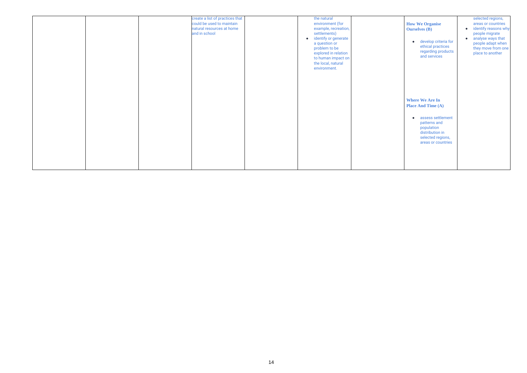|  | create a list of practices that<br>could be used to maintain<br>natural resources at home<br>and in school | the natural<br>environment (for<br>example, recreation,<br>settlements)<br>identify or generate<br>$\bullet$<br>a question or<br>problem to be<br>explored in relation<br>to human impact on<br>the local, natural<br>environment. |  |
|--|------------------------------------------------------------------------------------------------------------|------------------------------------------------------------------------------------------------------------------------------------------------------------------------------------------------------------------------------------|--|
|  |                                                                                                            |                                                                                                                                                                                                                                    |  |

| <b>How We Organise</b><br><b>Ourselves (B)</b><br>develop criteria for<br>ethical practices<br>regarding products<br>and services | selected regions,<br>areas or countries<br>identify reasons why<br>people migrate<br>analyse ways that<br>people adapt when<br>they move from one<br>place to another |
|-----------------------------------------------------------------------------------------------------------------------------------|-----------------------------------------------------------------------------------------------------------------------------------------------------------------------|
| <b>Where We Are In</b><br><b>Place And Time (A)</b>                                                                               |                                                                                                                                                                       |
| assess settlement<br>patterns and<br>population<br>distribution in<br>selected regions,<br>areas or countries                     |                                                                                                                                                                       |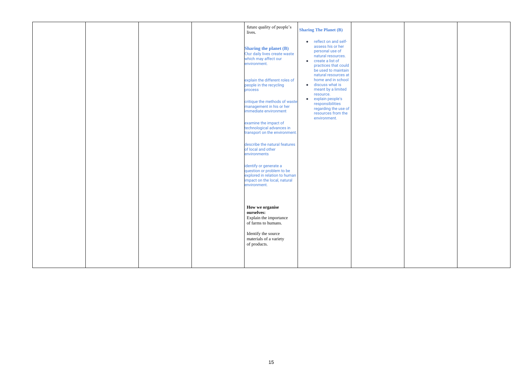

|  |  | future quality of people's<br>lives.                                                                                                 | <b>Sharing The Planet (B)</b>                                                                                                                                                   |  |
|--|--|--------------------------------------------------------------------------------------------------------------------------------------|---------------------------------------------------------------------------------------------------------------------------------------------------------------------------------|--|
|  |  | <b>Sharing the planet (B)</b><br>Our daily lives create waste<br>which may affect our<br>environment.                                | reflect on and self-<br>$\bullet$<br>assess his or her<br>personal use of<br>natural resources.<br>create a list of<br>$\bullet$<br>practices that could<br>be used to maintain |  |
|  |  | explain the different roles of<br>people in the recycling<br>process                                                                 | natural resources at<br>home and in school<br>discuss what is<br>$\bullet$<br>meant by a limited<br>resource.                                                                   |  |
|  |  | critique the methods of waste<br>management in his or her<br>immediate environment                                                   | explain people's<br>$\bullet$<br>responsibilities<br>regarding the use of<br>resources from the<br>environment.                                                                 |  |
|  |  | examine the impact of<br>technological advances in<br>transport on the environment.                                                  |                                                                                                                                                                                 |  |
|  |  | describe the natural features<br>of local and other<br>environments                                                                  |                                                                                                                                                                                 |  |
|  |  | identify or generate a<br>question or problem to be<br>explored in relation to human<br>impact on the local, natural<br>environment. |                                                                                                                                                                                 |  |
|  |  | How we organise<br>ourselves:<br>Explain the importance<br>of farms to humans.                                                       |                                                                                                                                                                                 |  |
|  |  | Identify the source<br>materials of a variety<br>of products.                                                                        |                                                                                                                                                                                 |  |
|  |  |                                                                                                                                      |                                                                                                                                                                                 |  |